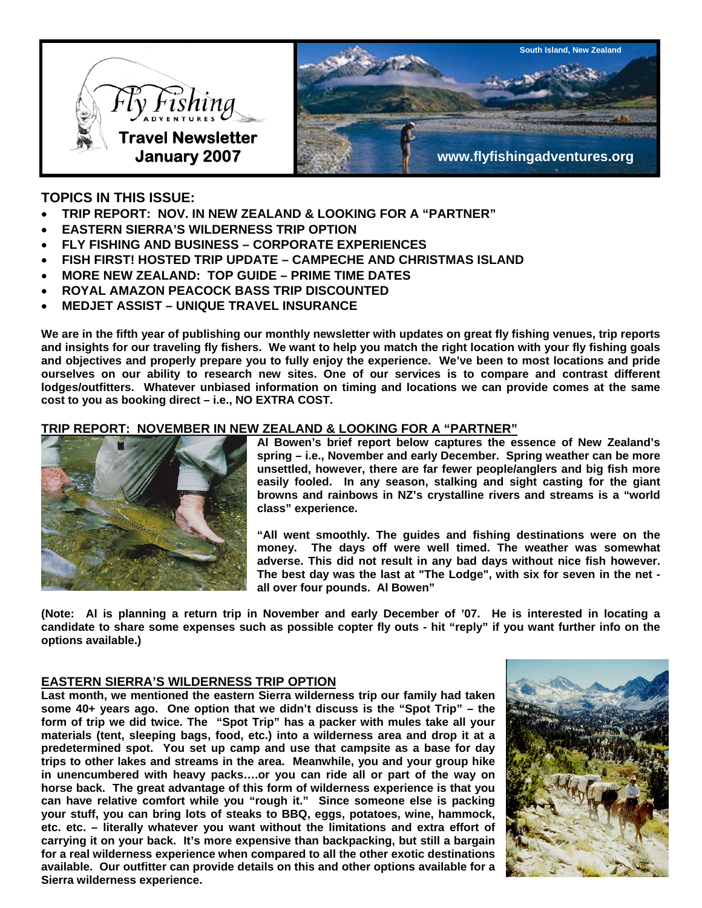

# **TOPICS IN THIS ISSUE:**

- **TRIP REPORT: NOV. IN NEW ZEALAND & LOOKING FOR A "PARTNER"**
- **EASTERN SIERRA'S WILDERNESS TRIP OPTION**
- **FLY FISHING AND BUSINESS CORPORATE EXPERIENCES**
- **FISH FIRST! HOSTED TRIP UPDATE CAMPECHE AND CHRISTMAS ISLAND**
- **MORE NEW ZEALAND: TOP GUIDE PRIME TIME DATES**
- **ROYAL AMAZON PEACOCK BASS TRIP DISCOUNTED**
- **MEDJET ASSIST UNIQUE TRAVEL INSURANCE**

**We are in the fifth year of publishing our monthly newsletter with updates on great fly fishing venues, trip reports and insights for our traveling fly fishers. We want to help you match the right location with your fly fishing goals and objectives and properly prepare you to fully enjoy the experience. We've been to most locations and pride ourselves on our ability to research new sites. One of our services is to compare and contrast different lodges/outfitters. Whatever unbiased information on timing and locations we can provide comes at the same cost to you as booking direct – i.e., NO EXTRA COST.** 

## **TRIP REPORT: NOVEMBER IN NEW ZEALAND & LOOKING FOR A "PARTNER"**



**Al Bowen's brief report below captures the essence of New Zealand's spring – i.e., November and early December. Spring weather can be more unsettled, however, there are far fewer people/anglers and big fish more easily fooled. In any season, stalking and sight casting for the giant browns and rainbows in NZ's crystalline rivers and streams is a "world class" experience.** 

**"All went smoothly. The guides and fishing destinations were on the money. The days off were well timed. The weather was somewhat adverse. This did not result in any bad days without nice fish however. The best day was the last at "The Lodge", with six for seven in the net all over four pounds. Al Bowen"** 

**(Note: Al is planning a return trip in November and early December of '07. He is interested in locating a candidate to share some expenses such as possible copter fly outs - hit "reply" if you want further info on the options available.)** 

## **EASTERN SIERRA'S WILDERNESS TRIP OPTION**

**Last month, we mentioned the eastern Sierra wilderness trip our family had taken some 40+ years ago. One option that we didn't discuss is the "Spot Trip" – the form of trip we did twice. The "Spot Trip" has a packer with mules take all your materials (tent, sleeping bags, food, etc.) into a wilderness area and drop it at a predetermined spot. You set up camp and use that campsite as a base for day trips to other lakes and streams in the area. Meanwhile, you and your group hike in unencumbered with heavy packs….or you can ride all or part of the way on horse back. The great advantage of this form of wilderness experience is that you can have relative comfort while you "rough it." Since someone else is packing your stuff, you can bring lots of steaks to BBQ, eggs, potatoes, wine, hammock, etc. etc. – literally whatever you want without the limitations and extra effort of carrying it on your back. It's more expensive than backpacking, but still a bargain for a real wilderness experience when compared to all the other exotic destinations available. Our outfitter can provide details on this and other options available for a Sierra wilderness experience.**